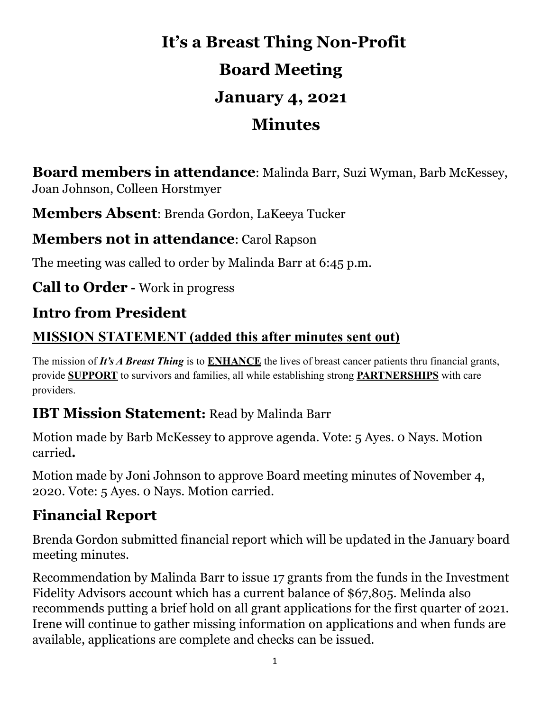# **It's a Breast Thing Non-Profit Board Meeting January 4, 2021 Minutes**

**Board members in attendance**: Malinda Barr, Suzi Wyman, Barb McKessey, Joan Johnson, Colleen Horstmyer

**Members Absent**: Brenda Gordon, LaKeeya Tucker

#### **Members not in attendance**: Carol Rapson

The meeting was called to order by Malinda Barr at 6:45 p.m.

**Call to Order -** Work in progress

### **Intro from President**

#### **MISSION STATEMENT (added this after minutes sent out)**

The mission of *It's A Breast Thing* is to **ENHANCE** the lives of breast cancer patients thru financial grants, provide **SUPPORT** to survivors and families, all while establishing strong **PARTNERSHIPS** with care providers.

### **IBT Mission Statement:** Read by Malinda Barr

Motion made by Barb McKessey to approve agenda. Vote: 5 Ayes. 0 Nays. Motion carried**.**

Motion made by Joni Johnson to approve Board meeting minutes of November 4, 2020. Vote: 5 Ayes. 0 Nays. Motion carried.

### **Financial Report**

Brenda Gordon submitted financial report which will be updated in the January board meeting minutes.

Recommendation by Malinda Barr to issue 17 grants from the funds in the Investment Fidelity Advisors account which has a current balance of \$67,805. Melinda also recommends putting a brief hold on all grant applications for the first quarter of 2021. Irene will continue to gather missing information on applications and when funds are available, applications are complete and checks can be issued.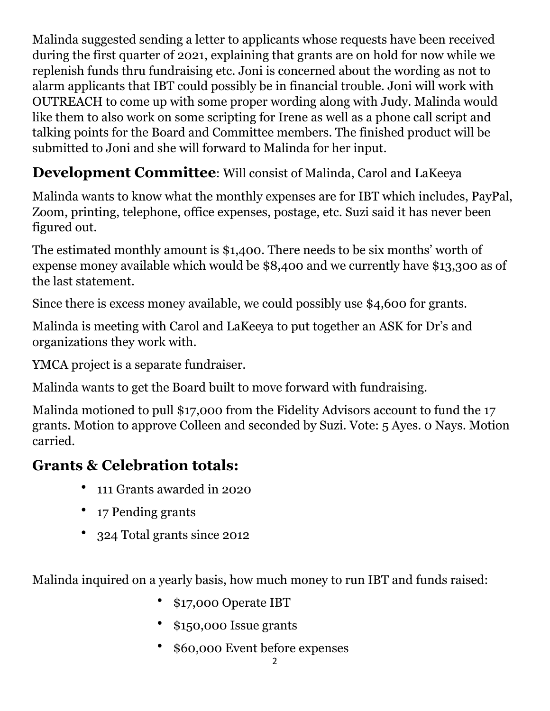Malinda suggested sending a letter to applicants whose requests have been received during the first quarter of 2021, explaining that grants are on hold for now while we replenish funds thru fundraising etc. Joni is concerned about the wording as not to alarm applicants that IBT could possibly be in financial trouble. Joni will work with OUTREACH to come up with some proper wording along with Judy. Malinda would like them to also work on some scripting for Irene as well as a phone call script and talking points for the Board and Committee members. The finished product will be submitted to Joni and she will forward to Malinda for her input.

### **Development Committee**: Will consist of Malinda, Carol and LaKeeya

Malinda wants to know what the monthly expenses are for IBT which includes, PayPal, Zoom, printing, telephone, office expenses, postage, etc. Suzi said it has never been figured out.

The estimated monthly amount is \$1,400. There needs to be six months' worth of expense money available which would be \$8,400 and we currently have \$13,300 as of the last statement.

Since there is excess money available, we could possibly use \$4,600 for grants.

Malinda is meeting with Carol and LaKeeya to put together an ASK for Dr's and organizations they work with.

YMCA project is a separate fundraiser.

Malinda wants to get the Board built to move forward with fundraising.

Malinda motioned to pull \$17,000 from the Fidelity Advisors account to fund the 17 grants. Motion to approve Colleen and seconded by Suzi. Vote: 5 Ayes. 0 Nays. Motion carried.

### **Grants & Celebration totals:**

- 111 Grants awarded in 2020
- 17 Pending grants
- 324 Total grants since 2012

Malinda inquired on a yearly basis, how much money to run IBT and funds raised:

- \$17,000 Operate IBT
- \$150,000 Issue grants
- \$60,000 Event before expenses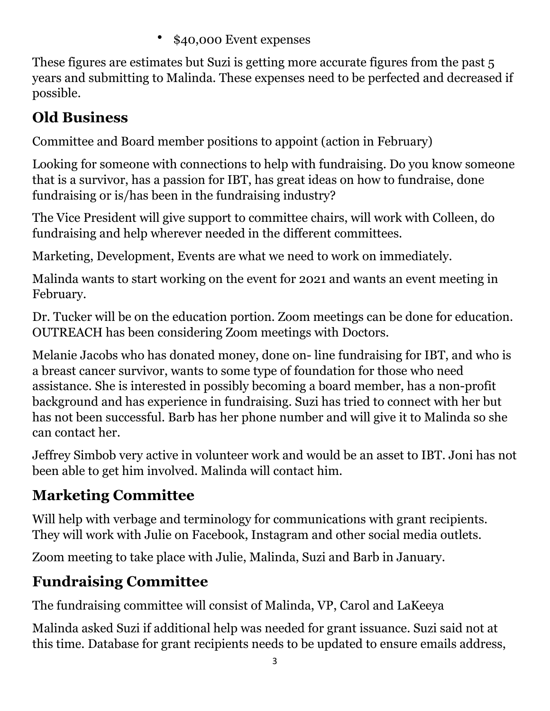• \$40,000 Event expenses

These figures are estimates but Suzi is getting more accurate figures from the past 5 years and submitting to Malinda. These expenses need to be perfected and decreased if possible.

## **Old Business**

Committee and Board member positions to appoint (action in February)

Looking for someone with connections to help with fundraising. Do you know someone that is a survivor, has a passion for IBT, has great ideas on how to fundraise, done fundraising or is/has been in the fundraising industry?

The Vice President will give support to committee chairs, will work with Colleen, do fundraising and help wherever needed in the different committees.

Marketing, Development, Events are what we need to work on immediately.

Malinda wants to start working on the event for 2021 and wants an event meeting in February.

Dr. Tucker will be on the education portion. Zoom meetings can be done for education. OUTREACH has been considering Zoom meetings with Doctors.

Melanie Jacobs who has donated money, done on- line fundraising for IBT, and who is a breast cancer survivor, wants to some type of foundation for those who need assistance. She is interested in possibly becoming a board member, has a non-profit background and has experience in fundraising. Suzi has tried to connect with her but has not been successful. Barb has her phone number and will give it to Malinda so she can contact her.

Jeffrey Simbob very active in volunteer work and would be an asset to IBT. Joni has not been able to get him involved. Malinda will contact him.

## **Marketing Committee**

Will help with verbage and terminology for communications with grant recipients. They will work with Julie on Facebook, Instagram and other social media outlets.

Zoom meeting to take place with Julie, Malinda, Suzi and Barb in January.

## **Fundraising Committee**

The fundraising committee will consist of Malinda, VP, Carol and LaKeeya

Malinda asked Suzi if additional help was needed for grant issuance. Suzi said not at this time. Database for grant recipients needs to be updated to ensure emails address,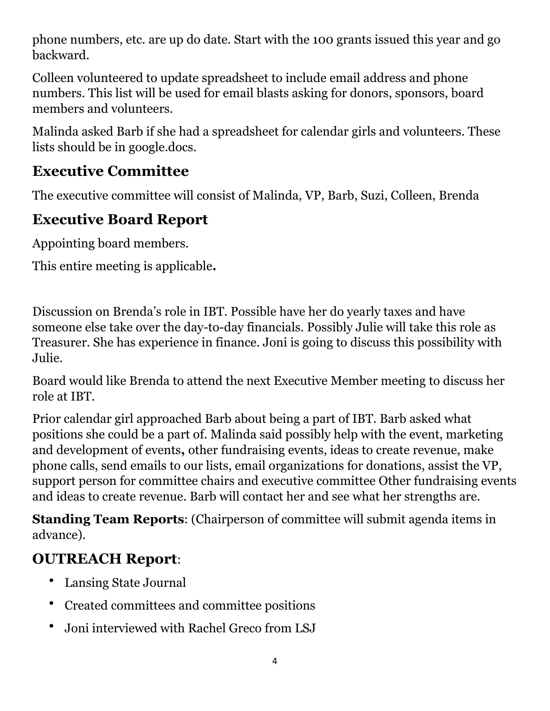phone numbers, etc. are up do date. Start with the 100 grants issued this year and go backward.

Colleen volunteered to update spreadsheet to include email address and phone numbers. This list will be used for email blasts asking for donors, sponsors, board members and volunteers.

Malinda asked Barb if she had a spreadsheet for calendar girls and volunteers. These lists should be in google.docs.

### **Executive Committee**

The executive committee will consist of Malinda, VP, Barb, Suzi, Colleen, Brenda

## **Executive Board Report**

Appointing board members.

This entire meeting is applicable**.** 

Discussion on Brenda's role in IBT. Possible have her do yearly taxes and have someone else take over the day-to-day financials. Possibly Julie will take this role as Treasurer. She has experience in finance. Joni is going to discuss this possibility with Julie.

Board would like Brenda to attend the next Executive Member meeting to discuss her role at IBT.

Prior calendar girl approached Barb about being a part of IBT. Barb asked what positions she could be a part of. Malinda said possibly help with the event, marketing and development of events**,** other fundraising events, ideas to create revenue, make phone calls, send emails to our lists, email organizations for donations, assist the VP, support person for committee chairs and executive committee Other fundraising events and ideas to create revenue. Barb will contact her and see what her strengths are.

**Standing Team Reports**: (Chairperson of committee will submit agenda items in advance).

## **OUTREACH Report**:

- Lansing State Journal
- Created committees and committee positions
- Joni interviewed with Rachel Greco from LSJ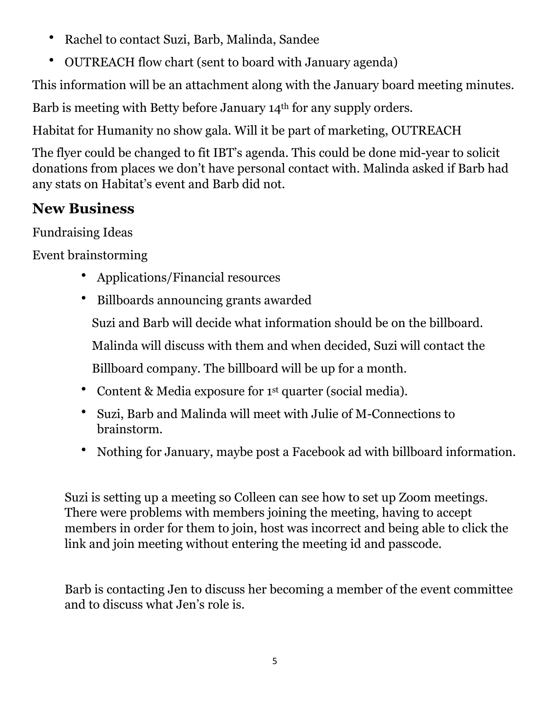- Rachel to contact Suzi, Barb, Malinda, Sandee
- OUTREACH flow chart (sent to board with January agenda)

This information will be an attachment along with the January board meeting minutes.

Barb is meeting with Betty before January 14th for any supply orders.

Habitat for Humanity no show gala. Will it be part of marketing, OUTREACH

The flyer could be changed to fit IBT's agenda. This could be done mid-year to solicit donations from places we don't have personal contact with. Malinda asked if Barb had any stats on Habitat's event and Barb did not.

### **New Business**

Fundraising Ideas

Event brainstorming

- Applications/Financial resources
- Billboards announcing grants awarded Suzi and Barb will decide what information should be on the billboard. Malinda will discuss with them and when decided, Suzi will contact the Billboard company. The billboard will be up for a month.
- Content & Media exposure for 1st quarter (social media).
- Suzi, Barb and Malinda will meet with Julie of M-Connections to brainstorm.
- Nothing for January, maybe post a Facebook ad with billboard information.

Suzi is setting up a meeting so Colleen can see how to set up Zoom meetings. There were problems with members joining the meeting, having to accept members in order for them to join, host was incorrect and being able to click the link and join meeting without entering the meeting id and passcode.

Barb is contacting Jen to discuss her becoming a member of the event committee and to discuss what Jen's role is.